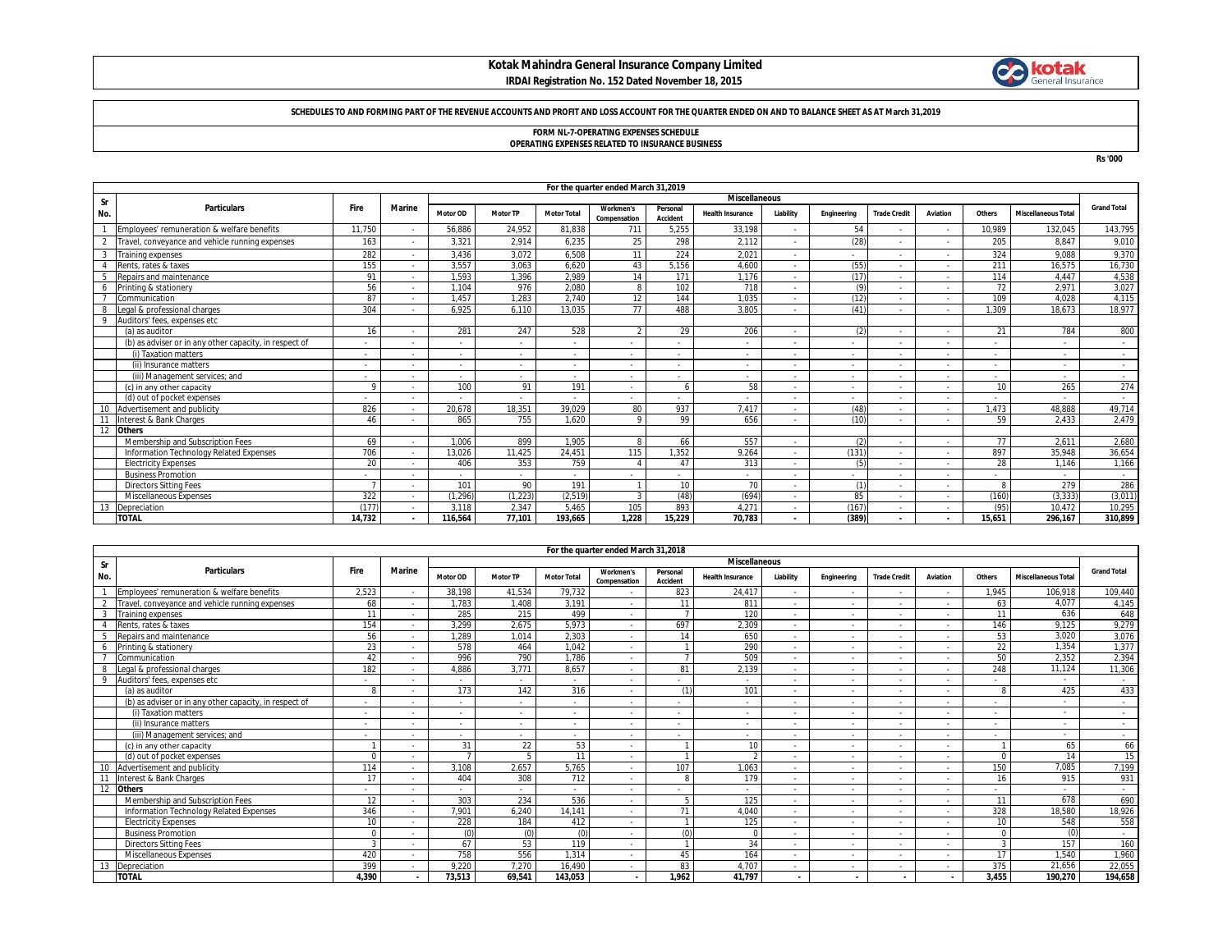### **Kotak Mahindra General Insurance Company Limited IRDAI Registration No. 152 Dated November 18, 2015**



#### **SCHEDULES TO AND FORMING PART OF THE REVENUE ACCOUNTS AND PROFIT AND LOSS ACCOUNT FOR THE QUARTER ENDED ON AND TO BALANCE SHEET AS AT March 31,2019**

# **FORM NL-7-OPERATING EXPENSES SCHEDULE**

**OPERATING EXPENSES RELATED TO INSURANCE BUSINESS**

**Rs '000**

|                | For the quarter ended March 31,2019                    |            |                      |          |                          |                    |                           |                      |                          |           |                          |                     |                          |                          |                            |                    |
|----------------|--------------------------------------------------------|------------|----------------------|----------|--------------------------|--------------------|---------------------------|----------------------|--------------------------|-----------|--------------------------|---------------------|--------------------------|--------------------------|----------------------------|--------------------|
| <b>Sr</b>      |                                                        |            | <b>Miscellaneous</b> |          |                          |                    |                           |                      |                          |           |                          |                     |                          |                          |                            |                    |
| No.            | <b>Particulars</b>                                     | Fire       | <b>Marine</b>        | Motor OD | <b>Motor TP</b>          | <b>Motor Total</b> | Workmen's<br>Compensation | Personal<br>Accident | <b>Health Insurance</b>  | Liability | Engineering              | <b>Trade Credit</b> | Aviation                 | Others                   | <b>Miscellaneous Total</b> | <b>Grand Total</b> |
|                | Employees' remuneration & welfare benefits             | 11,750     |                      | 56,886   | 24,952                   | 81.838             | 711                       | 5,255                | 33.198                   |           | 54                       |                     |                          | 10,989                   | 132.045                    | 143,795            |
| $\overline{2}$ | Travel, conveyance and vehicle running expenses        | 163        |                      | 3,321    | 2.914                    | 6,235              | 25                        | 298                  | 2.112                    |           | (28)                     |                     |                          | 205                      | 8.847                      | 9,010              |
| $\overline{3}$ | <b>Training expenses</b>                               | 282        |                      | 3.436    | 3.072                    | 6.508              | 11                        | 224                  | 2.021                    |           | $\sim$                   |                     |                          | 324                      | 9.088                      | 9,370              |
|                | Rents, rates & taxes                                   | 155        |                      | 3.557    | 3.063                    | 6.620              | 43                        | 5.156                | 4.600                    | $\sim$    | (55)                     |                     |                          | 211                      | 16.575                     | 16,730             |
|                | Repairs and maintenance                                | 91         |                      | 1.593    | 1.396                    | 2.989              | 14                        | 171                  | 1.176                    |           | (17)                     |                     |                          | 114                      | 4.447                      | 4,538              |
| 6              | Printing & stationery                                  | 56         |                      | 1.104    | 976                      | 2.080              |                           | 102                  | 718                      |           | $\left(9\right)$         |                     |                          | 72                       | 2.97'                      | 3,027              |
|                | Communication                                          | 87         |                      | 1.457    | 1.283                    | 2.740              | 12                        | 144                  | 1.035                    |           | (12)                     |                     |                          | 109                      | 4.028                      | 4,115              |
| 8              | Legal & professional charges                           | 304        |                      | 6.925    | 6.110                    | 13.035             | 77                        | 488                  | 3.805                    |           | (41)                     |                     |                          | 1.309                    | 18.673                     | 18.977             |
| 9              | Auditors' fees, expenses etc                           |            |                      |          |                          |                    |                           |                      |                          |           |                          |                     |                          |                          |                            |                    |
|                | (a) as auditor                                         | 16         |                      | 281      | 247                      | 528                | $\mathfrak{D}$            | 29                   | 206                      | $\sim$    | $\sqrt{2}$               |                     | $\sim$                   | 21                       | 784                        | 800                |
|                | (b) as adviser or in any other capacity, in respect of |            |                      |          |                          |                    |                           |                      |                          |           | $\overline{\phantom{a}}$ |                     |                          |                          |                            |                    |
|                | (i) Taxation matters                                   | $\sim$     |                      |          |                          | $\sim$             | $\overline{\phantom{a}}$  |                      |                          |           | $\sim$                   |                     |                          |                          | $\sim$                     | $\sim$             |
|                | (ii) Insurance matters                                 |            |                      | ٠        | $\overline{\phantom{a}}$ | $\sim$             | $\overline{\phantom{a}}$  |                      | $\overline{\phantom{a}}$ | $\sim$    | $\sim$                   |                     |                          | $\overline{\phantom{a}}$ | $\sim$                     | $\sim$             |
|                | (iii) Management services: and                         | $\sim$     |                      | $\sim$   | $\sim$                   | $\sim$             | $\overline{\phantom{a}}$  |                      | $\overline{\phantom{a}}$ |           | $\overline{\phantom{a}}$ |                     | $\sim$                   | $\sim$                   | $\sim$                     | $\sim$             |
|                | (c) in any other capacity                              | $^{\circ}$ |                      | 100      | 91                       | 191                | $\overline{\phantom{a}}$  |                      | 58                       | $\sim$    | $\overline{\phantom{a}}$ |                     | $\overline{\phantom{a}}$ | 10                       | 265                        | 274                |
|                | (d) out of pocket expenses                             | ٠          |                      |          |                          |                    | ٠                         |                      |                          |           | $\overline{\phantom{a}}$ |                     |                          | $\overline{\phantom{a}}$ |                            | $\sim$             |
|                | Advertisement and publicity                            | 826        |                      | 20.678   | 18,351                   | 39,029             | 80                        | 937                  | 7.417                    |           | (48)                     |                     |                          | 1.473                    | 48.888                     | 49,714             |
| 11             | Interest & Bank Charges                                | 46         |                      | 865      | 755                      | 1.620              | $\circ$                   | 99                   | 656                      | $\sim$    | (10)                     |                     |                          | 59                       | 2.433                      | 2.479              |
| 12             | <b>Others</b>                                          |            |                      |          |                          |                    |                           |                      |                          |           |                          |                     |                          |                          |                            |                    |
|                | Membership and Subscription Fees                       | 69         |                      | 1.006    | 899                      | 1.905              | $\mathsf{R}$              | 66                   | 557                      |           | (2)                      |                     |                          | 77                       | 2.61'                      | 2,680              |
|                | Information Technology Related Expenses                | 706        |                      | 13.026   | 11.425                   | 24.451             | 115                       | 1.352                | 9.264                    |           | (131)                    |                     |                          | 897                      | 35.948                     | 36,654             |
|                | <b>Electricity Expenses</b>                            | 20         |                      | 406      | 353                      | 759                |                           | 47                   | 313                      | $\sim$    | (5)                      |                     |                          | 28                       | 1.146                      | 1,166              |
|                | <b>Business Promotion</b>                              | ٠          |                      |          |                          | $\sim$             | ٠                         |                      |                          |           | $\overline{\phantom{a}}$ |                     |                          | $\overline{\phantom{a}}$ |                            | $\sim$             |
|                | <b>Directors Sitting Fees</b>                          |            |                      | 101      | 90                       | 191                |                           | 10                   | 70                       | $\sim$    | $\prime$ <sup>1</sup>    |                     | $\sim$                   |                          | 279                        | 286                |
|                | Miscellaneous Expenses                                 | 322        |                      | (1, 296) | (1, 223)                 | (2,519)            | 3                         | (48)                 | (694)                    |           | 85                       |                     |                          | (160)                    | (3, 333)                   | (3,011)            |
| 13             | Depreciation                                           | (177)      |                      | 3.118    | 2,347                    | 5.465              | 105                       | 893                  | 4.271                    |           | (167)                    |                     |                          | (95)                     | 10.472                     | 10,295             |
|                | <b>TOTAL</b>                                           | 14,732     |                      | 116.564  | 77,101                   | 193.665            | 1.228                     | 15,229               | 70,783                   |           | (389)                    |                     |                          | 15.651                   | 296.167                    | 310,899            |

|             | For the quarter ended March 31,2018                    |                          |                          |                          |                 |                          |                                  |                             |                          |                          |                          |                          |                          |               |                            |                          |
|-------------|--------------------------------------------------------|--------------------------|--------------------------|--------------------------|-----------------|--------------------------|----------------------------------|-----------------------------|--------------------------|--------------------------|--------------------------|--------------------------|--------------------------|---------------|----------------------------|--------------------------|
| Sr          |                                                        |                          |                          | <b>Miscellaneous</b>     |                 |                          |                                  |                             |                          |                          |                          |                          |                          |               |                            |                          |
| No.         | <b>Particulars</b>                                     | Fire                     | <b>Marine</b>            | <b>Motor OD</b>          | <b>Motor TP</b> | <b>Motor Total</b>       | <b>Workmen's</b><br>Compensation | Personal<br><b>Accident</b> | <b>Health Insurance</b>  | Liability                | Engineering              | <b>Trade Credit</b>      | Aviation                 | Others        | <b>Miscellaneous Total</b> | <b>Grand Total</b>       |
|             | Employees' remuneration & welfare benefits             | 2,523                    |                          | 38.198                   | 41.534          | 79.732                   | $\overline{\phantom{a}}$         | 823                         | 24.417                   | $\sim$                   | $\sim$                   |                          |                          | 1.945         | 106.918                    | 109,440                  |
| $\gamma$    | Travel, convevance and vehicle running expenses        | 68                       |                          | 1.783                    | 1.408           | 3.191                    | $\overline{\phantom{a}}$         | 11                          | 811                      | $\sim$                   | $\sim$                   |                          |                          | 63            | 4.077                      | 4.145                    |
|             | <b>Training expenses</b>                               | 11                       |                          | 285                      | 215             | 499                      | $\overline{\phantom{a}}$         |                             | 120                      | $\sim$                   | $\sim$                   |                          |                          | 11            | 636                        | 648                      |
|             | Rents, rates & taxes                                   | 154                      |                          | 3.299                    | 2.675           | 5,973                    | $\overline{\phantom{a}}$         | 697                         | 2.309                    | $\sim$                   | $\sim$                   |                          |                          | 146           | 9,125                      | 9,279                    |
|             | Repairs and maintenance                                | 56                       |                          | 1,289                    | 1.014           | 2.303                    | $\overline{\phantom{a}}$         | 14                          | 650                      | $\sim$                   | $\sim$                   |                          |                          | 53            | 3.020                      | 3,076                    |
| -6          | Printing & stationery                                  | 23                       |                          | 578                      | 464             | 1.042                    | $\overline{\phantom{a}}$         |                             | 290                      | $\sim$                   | $\sim$                   |                          |                          | 22            | 1.354                      | 1,377                    |
|             | Communication                                          | 42                       |                          | 996                      | 790             | 1.786                    | $\overline{\phantom{a}}$         |                             | 509                      | $\sim$                   | $\sim$                   |                          |                          | 50            | 2,352                      | 2.394                    |
|             | Legal & professional charges                           | 182                      |                          | 4.886                    | 3.771           | 8.657                    | $\overline{\phantom{a}}$         | 81                          | 2.139                    | $\sim$                   | $\sim$                   |                          |                          | 248           | 11.124                     | 11,306                   |
| $\mathbf Q$ | Auditors' fees, expenses etc                           |                          |                          | $\overline{\phantom{a}}$ |                 | $\overline{\phantom{a}}$ | $\overline{a}$                   |                             |                          | ۰.                       | $\sim$                   |                          |                          |               |                            |                          |
|             | (a) as auditor                                         | 8                        |                          | 173                      | 142             | 316                      | $\overline{\phantom{a}}$         | (1)                         | 101                      | $\sim$                   | $\sim$                   | $\overline{\phantom{a}}$ |                          | 8             | 425                        | 433                      |
|             | (b) as adviser or in any other capacity, in respect of | $\overline{\phantom{a}}$ |                          | $\sim$                   |                 | $\sim$                   | $\overline{\phantom{a}}$         |                             | $\overline{\phantom{a}}$ | $\sim$                   | $\sim$                   |                          |                          | ۰.            | $\overline{\phantom{a}}$   | $\sim$                   |
|             | (i) Taxation matters                                   | $\overline{\phantom{a}}$ |                          | $\sim$                   | $\sim$          | $\sim$                   | $\overline{\phantom{a}}$         |                             |                          | $\sim$                   | $\sim$                   |                          |                          | $\sim$        | $\sim$                     | $\sim$                   |
|             | (ii) Insurance matters                                 | $\overline{\phantom{a}}$ |                          | $\sim$                   | $\sim$          | $\overline{\phantom{a}}$ | $\overline{\phantom{a}}$         |                             | $\sim$                   | $\sim$                   | $\sim$                   |                          |                          | $\sim$        | $\overline{\phantom{a}}$   | $\overline{\phantom{a}}$ |
|             | (iii) Management services; and                         | $\overline{\phantom{a}}$ | $\overline{\phantom{a}}$ | $\sim$                   | $\sim$          | $\sim$                   | $\overline{\phantom{a}}$         | $\sim$                      | $\sim$                   | $\sim$                   | $\sim$                   | ٠                        |                          | $\sim$        | ٠                          | $\sim$                   |
|             | (c) in any other capacity                              |                          |                          | 31                       | 22              | 53                       | $\overline{\phantom{a}}$         |                             | 10 <sup>1</sup>          | $\sim$                   | $\sim$                   |                          |                          |               | 65                         | 66                       |
|             | (d) out of pocket expenses                             |                          |                          |                          |                 | 11                       | $\overline{\phantom{a}}$         |                             | $\Omega$                 | $\sim$                   | $\sim$                   |                          |                          | $\Omega$      | 14                         | 15                       |
|             | Advertisement and publicity                            | 114                      |                          | 3.108                    | 2.657           | 5.765                    | ٠                                | 107                         | 1.063                    | $\sim$                   | $\sim$                   |                          |                          | 150           | 7.085                      | 7,199                    |
|             | Interest & Bank Charges                                | 17                       |                          | 404                      | 308             | 712                      | $\overline{\phantom{a}}$         | $\mathsf{R}$                | 179                      | $\overline{\phantom{a}}$ | $\sim$                   |                          |                          | 16            | 915                        | 931                      |
|             | <b>Others</b>                                          | $\sim$                   |                          | $\sim$                   |                 | $\sim$                   | $\overline{\phantom{a}}$         |                             |                          | $\sim$                   | $\sim$                   |                          |                          |               | $\overline{\phantom{a}}$   | $\sim$                   |
|             | Membership and Subscription Fees                       | 12 <sup>2</sup>          |                          | 303                      | 234             | 536                      | $\overline{\phantom{a}}$         |                             | 125                      | $\sim$                   | $\sim$                   |                          |                          | 11            | 678                        | 690                      |
|             | Information Technology Related Expenses                | 346                      |                          | 7.901                    | 6.240           | 14.141                   | $\overline{\phantom{a}}$         | 71                          | 4.040                    | $\sim$                   | $\sim$                   |                          |                          | 328           | 18,580                     | 18,926                   |
|             | <b>Electricity Expenses</b>                            | 10                       |                          | 228                      | 184             | 412                      | $\overline{\phantom{a}}$         |                             | 125                      | $\sim$                   | $\sim$                   |                          |                          | 10            | 548                        | 558                      |
|             | <b>Business Promotion</b>                              | $\Omega$                 |                          | (0)                      | (0)             |                          | ٠                                | (n)                         | $\Omega$                 | $\sim$                   | $\sim$                   |                          |                          | $\Omega$      |                            | $\overline{\phantom{a}}$ |
|             | <b>Directors Sitting Fees</b>                          | 3                        |                          | 67                       | 53              | 119                      | ٠                                |                             | 34                       | $\sim$                   | $\sim$                   |                          |                          | $\mathcal{D}$ | 157                        | 160                      |
|             | Miscellaneous Expenses                                 | 420                      |                          | 758                      | 556             | 1.314                    | $\overline{\phantom{a}}$         | 45                          | 164                      | $\sim$                   | $\sim$                   |                          |                          | 17            | 1.540                      | 1,960                    |
|             | Depreciation                                           | 399                      |                          | 9.220                    | 7.270           | 16.490                   | $\overline{\phantom{a}}$         | 83                          | 4.707                    | $\sim$                   | $\sim$                   |                          |                          | 375           | 21.656                     | 22,055                   |
|             | <b>TOTAL</b>                                           | 4.390                    | $\overline{\phantom{a}}$ | 73,513                   | 69,541          | 143.053                  | $\overline{\phantom{a}}$         | 1.962                       | 41,797                   | $\overline{\phantom{a}}$ | $\overline{\phantom{a}}$ | $\overline{\phantom{a}}$ | $\overline{\phantom{a}}$ | 3.455         | 190,270                    | 194,658                  |